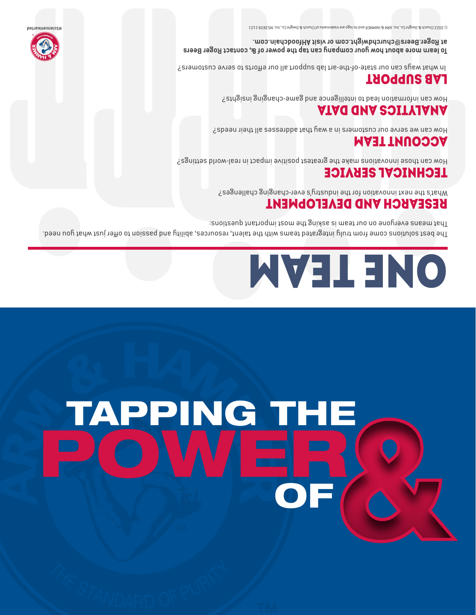# TAPPING THE OW!ER OF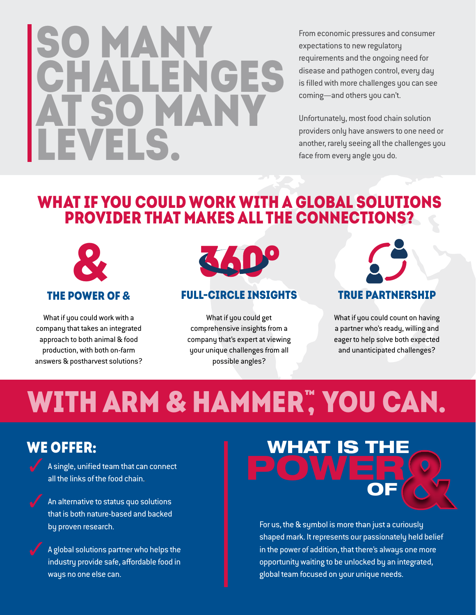### SO MANY CHALLENGES **SO MAN** LEVELS.

From economic pressures and consumer expectations to new regulatory requirements and the ongoing need for disease and pathogen control, every day is filled with more challenges you can see coming—and others you can't.

Unfortunately, most food chain solution providers only have answers to one need or another, rarely seeing all the challenges you face from every angle you do.

### WHAT IF YOU COULD WORK WITH A GLOBAL SOLUTIONS PROVIDER THAT MAKES ALL THE CONNECTIONS?



What if you could work with a company that takes an integrated approach to both animal & food production, with both on-farm answers & postharvest solutions?



#### full-circle insights

What if you could get comprehensive insights from a company that's expert at viewing your unique challenges from all possible angles?

true partnership

What if you could count on having a partner who's ready, willing and eager to help solve both expected and unanticipated challenges?

### WITH ARM & HAMMER", YOU CAN.

### We offer:

A single, unified team that can connect all the links of the food chain..

An alternative to status quo solutions that is both nature-based and backed by proven research.

A global solutions partner who helps the industry provide safe, affordable food in ways no one else can.



For us, the & symbol is more than just a curiously shaped mark. It represents our passionately held belief in the power of addition, that there's always one more opportunity waiting to be unlocked by an integrated, global team focused on your unique needs.